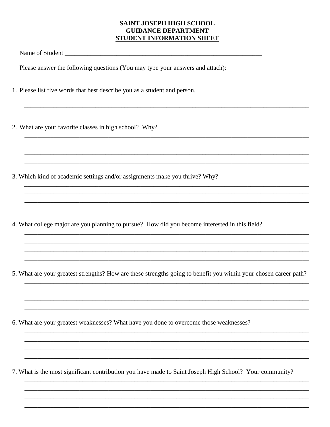## **SAINT JOSEPH HIGH SCHOOL GUIDANCE DEPARTMENT** STUDENT INFORMATION SHEET

Please answer the following questions (You may type your answers and attach):

- 1. Please list five words that best describe you as a student and person.
- 2. What are your favorite classes in high school? Why?
- 3. Which kind of academic settings and/or assignments make you thrive? Why?
- 4. What college major are you planning to pursue? How did you become interested in this field?

- 5. What are your greatest strengths? How are these strengths going to benefit you within your chosen career path?
- 6. What are your greatest weaknesses? What have you done to overcome those weaknesses?

7. What is the most significant contribution you have made to Saint Joseph High School? Your community?